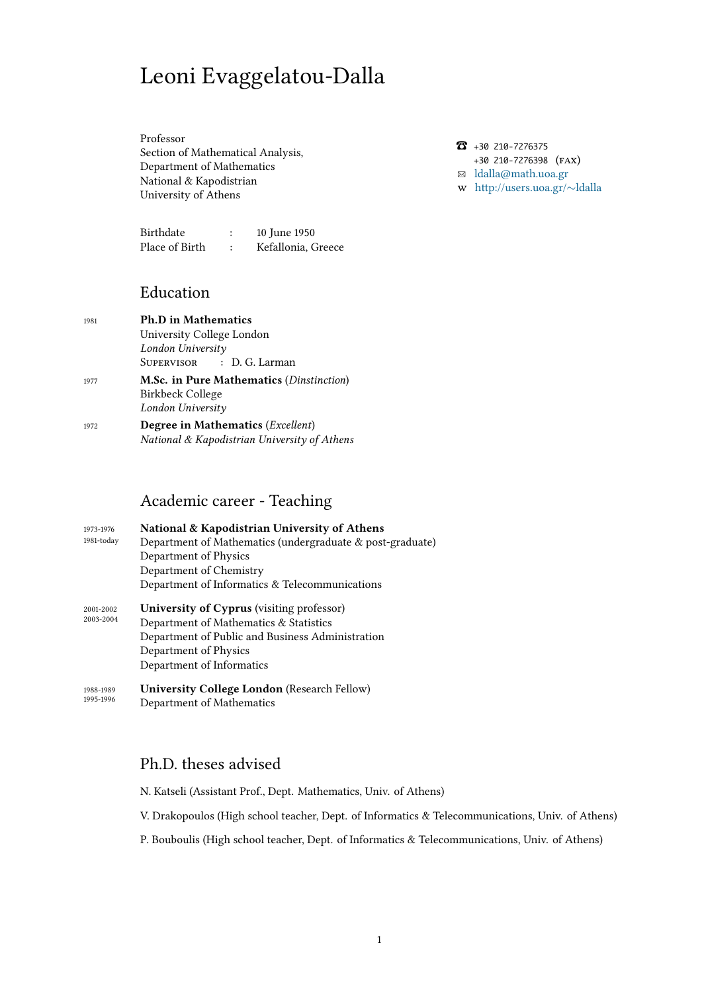# Leoni Evaggelatou-Dalla

Professor Section of Mathematical Analysis, Department of Mathematics National & Kapodistrian University of Athens

Birthdate [: 10 Ju](http://www.math.uoa.gr)ne 1950 [Place of Birth : K](http://www.uoa.gr)efallonia, Greece

## Education

- <sup>1981</sup> **Ph.D in Mathematics** University College London *London University* SUPERVISOR : D. G. Larman <sup>1977</sup> **M.Sc. in Pure Mathematics** (*Dinstinction*) Birkbeck College *London University*
- <sup>1972</sup> **Degree in Mathematics** (*Excellent*) *National & Kapodistrian University of Athens*

#### Academic career - Teaching

- 1973-1976 1981-today **National & Kapodistrian University of Athens** Department of Mathematics (undergraduate & post-graduate) Department of Physics Department of Chemistry Department of Informatics & Telecommunications
- 2001-2002 2003-2004 **University of Cyprus** (visiting professor) Department of Mathematics & Statistics Department of Public and Business Administration Department of Physics Department of Informatics
- 1988-1989 1995-1996 **University College London** (Research Fellow) Department of Mathematics

## Ph.D. theses advised

- N. Katseli (Assistant Prof., Dept. Mathematics, Univ. of Athens)
- V. Drakopoulos (High school teacher, Dept. of Informatics & Telecommunications, Univ. of Athens)
- P. Bouboulis (High school teacher, Dept. of Informatics & Telecommunications, Univ. of Athens)

☎ +30 210-7276375 +30 210-7276398 (FAX) ✉ ldalla@math.uoa.gr http://users.uoa.gr/*∼*ldalla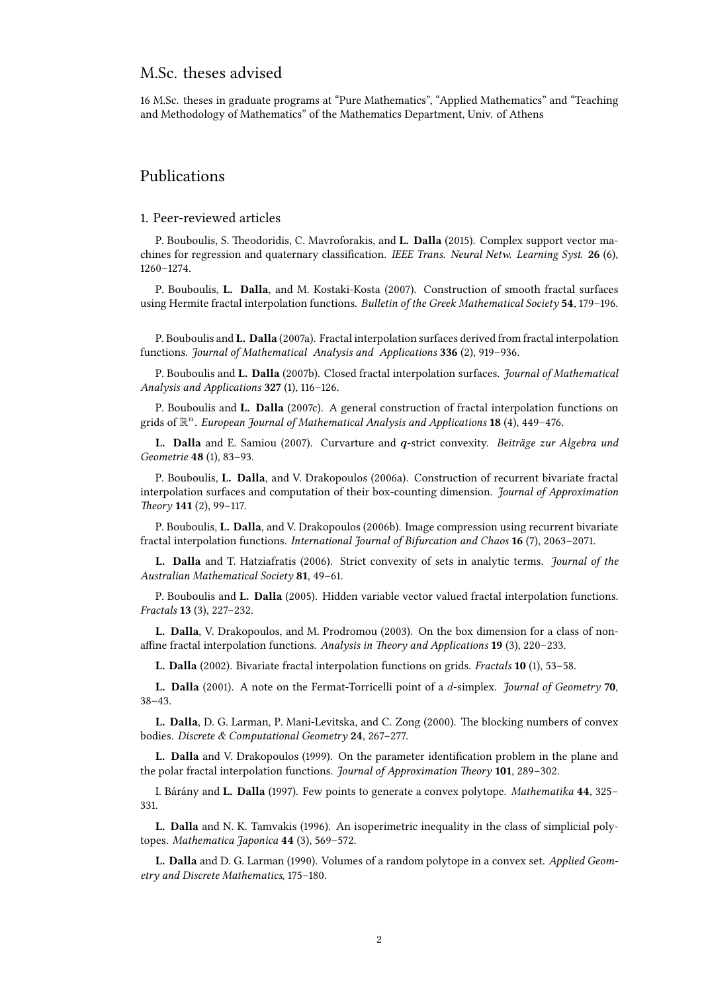#### M.Sc. theses advised

16 M.Sc. theses in graduate programs at "Pure Mathematics", "Applied Mathematics" and "Teaching and Methodology of Mathematics" of the Mathematics Department, Univ. of Athens

#### Publications

#### 1. Peer-reviewed articles

P. Bouboulis, S. Theodoridis, C. Mavroforakis, and **L. Dalla** (2015). Complex support vector machines for regression and quaternary classification. *IEEE Trans. Neural Netw. Learning Syst.* 26 (6), 1260–1274.

P. Bouboulis, **L. Dalla**, and M. Kostaki-Kosta (2007). Construction of smooth fractal surfaces using Hermite fractal interpolation functions. *Bulletin of the Greek Mathematical Society* 54, 179-196.

P. Bouboulis and **L. Dalla** (2007a). Fractal interpolation surfaces derived from fractal interpolation functions. *Journal of Mathematical Analysis and Applications* 336 (2), 919–936.

P. Bouboulis and **L. Dalla** (2007b). Closed fractal interpolation surfaces. *Journal of Mathematical* Analysis and Applications 327 (1), 116-126.

P. Bouboulis and **L. Dalla** (2007c). A general construction of fractal interpolation functions on grids of R *<sup>n</sup>*. *European Journal of Mathematical Analysis and Applications* (4), 449–476.

**L. Dalla** and E. Samiou (2007). Curvarture and *q*-strict convexity. *Beiträge zur Algebra und* Geometrie 48 (1), 83-93.

P. Bouboulis, **L. Dalla**, and V. Drakopoulos (2006a). Construction of recurrent bivariate fractal interpolation surfaces and computation of their box-counting dimension. *Journal of Approximation Theory* **141** (2), 99–117.

P. Bouboulis, **L. Dalla**, and V. Drakopoulos (2006b). Image compression using recurrent bivariate fractal interpolation functions. *International Journal of Bifurcation and Chaos* (7), 2063–2071.

**L. Dalla** and T. Hatziafratis (2006). Strict convexity of sets in analytic terms. *Journal of the* Australian Mathematical Society 81, 49-61.

P. Bouboulis and **L. Dalla** (2005). Hidden variable vector valued fractal interpolation functions. *Fractals* (3), 227–232.

**L. Dalla**, V. Drakopoulos, and M. Prodromou (2003). On the box dimension for a class of nonaffine fractal interpolation functions. *Analysis in Theory and Applications* 19 (3), 220-233.

**L. Dalla** (2002). Bivariate fractal interpolation functions on grids. *Fractals* **10** (1), 53–58.

**L. Dalla** (2001). A note on the Fermat-Torricelli point of a *d*-simplex. *Journal of Geometry* 70, 38–43.

**L. Dalla**, D. G. Larman, P. Mani-Levitska, and C. Zong (2000). The blocking numbers of convex bodies. Discrete & Computational Geometry 24, 267-277.

**L. Dalla** and V. Drakopoulos (1999). On the parameter identification problem in the plane and the polar fractal interpolation functions. *Journal of Approximation Theory* 101, 289-302.

I. Bárány and **L. Dalla** (1997). Few points to generate a convex polytope. *Mathematika* , 325– 331.

**L. Dalla** and N. K. Tamvakis (1996). An isoperimetric inequality in the class of simplicial polytopes. *Mathematica Japonica* 44 (3), 569-572.

**L. Dalla** and D. G. Larman (1990). Volumes of a random polytope in a convex set. *Applied Geometry and Discrete Mathematics*, 175–180.